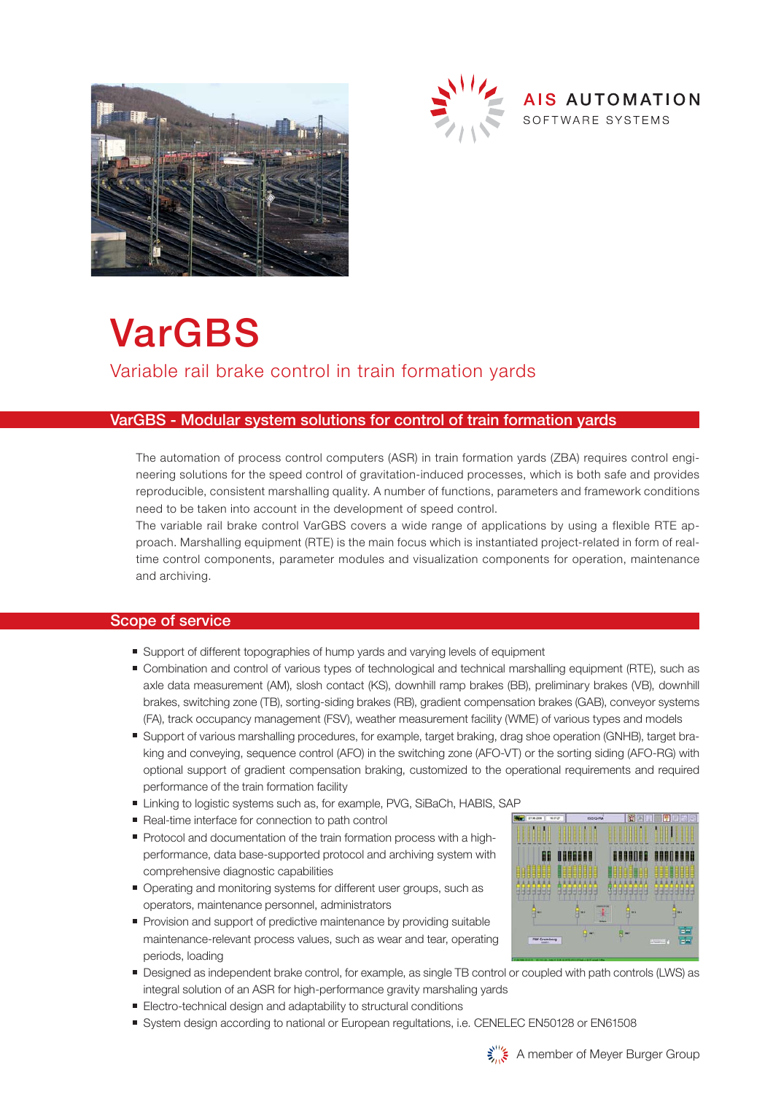



# VarGBS Variable rail brake control in train formation yards

#### VarGBS - Modular system solutions for control of train formation yards

The automation of process control computers (ASR) in train formation yards (ZBA) requires control engineering solutions for the speed control of gravitation-induced processes, which is both safe and provides reproducible, consistent marshalling quality. A number of functions, parameters and framework conditions need to be taken into account in the development of speed control.

The variable rail brake control VarGBS covers a wide range of applications by using a flexible RTE approach. Marshalling equipment (RTE) is the main focus which is instantiated project-related in form of realtime control components, parameter modules and visualization components for operation, maintenance and archiving.

#### Scope of service

- Support of different topographies of hump yards and varying levels of equipment
- Combination and control of various types of technological and technical marshalling equipment (RTE), such as axle data measurement (AM), slosh contact (KS), downhill ramp brakes (BB), preliminary brakes (VB), downhill brakes, switching zone (TB), sorting-siding brakes (RB), gradient compensation brakes (GAB), conveyor systems (FA), track occupancy management (FSV), weather measurement facility (WME) of various types and models
- Support of various marshalling procedures, for example, target braking, drag shoe operation (GNHB), target braking and conveying, sequence control (AFO) in the switching zone (AFO-VT) or the sorting siding (AFO-RG) with optional support of gradient compensation braking, customized to the operational requirements and required performance of the train formation facility
- Linking to logistic systems such as, for example, PVG, SiBaCh, HABIS, SAP
- Real-time interface for connection to path control
- Protocol and documentation of the train formation process with a high performance, data base-supported protocol and archiving system with comprehensive diagnostic capabilities
- Operating and monitoring systems for different user groups, such as operators, maintenance personnel, administrators
- Provision and support of predictive maintenance by providing suitable maintenance-relevant process values, such as wear and tear, operating periods, loading
- Designed as independent brake control, for example, as single TB control or coupled with path controls (LWS) as integral solution of an ASR for high-performance gravity marshaling yards
- Electro-technical design and adaptability to structural conditions
- System design according to national or European regultations, i.e. CENELEC EN50128 or EN61508



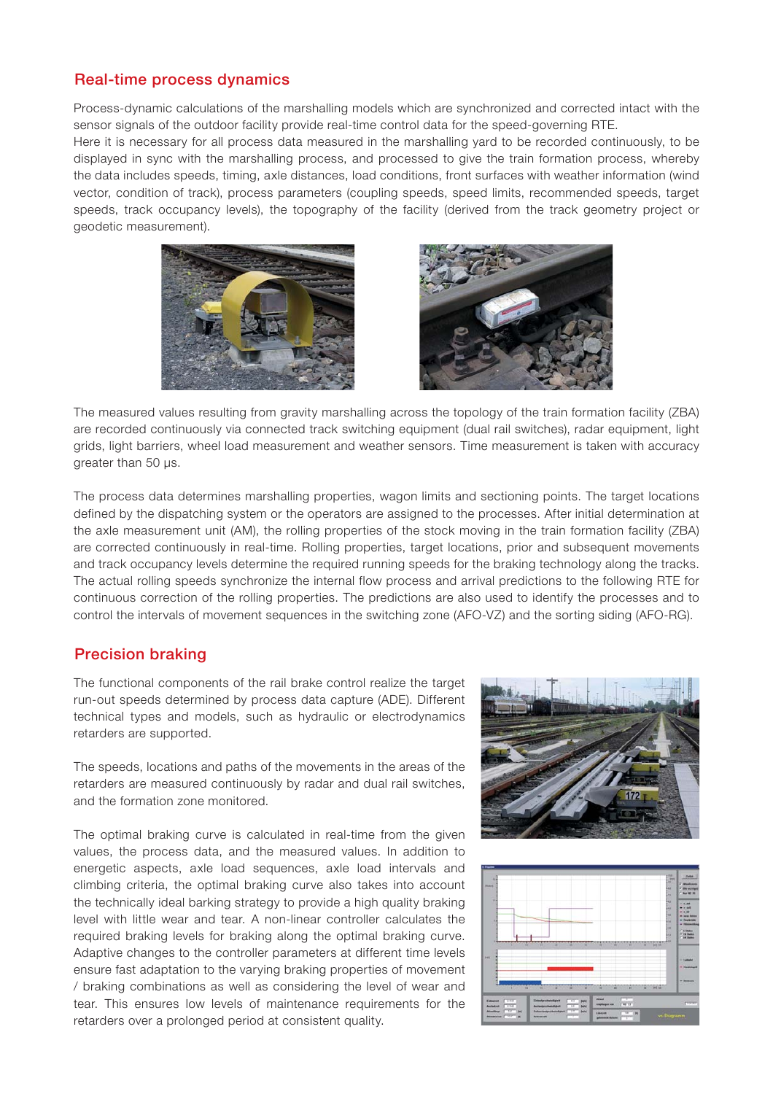# Real-time process dynamics

Process-dynamic calculations of the marshalling models which are synchronized and corrected intact with the sensor signals of the outdoor facility provide real-time control data for the speed-governing RTE.

Here it is necessary for all process data measured in the marshalling yard to be recorded continuously, to be displayed in sync with the marshalling process, and processed to give the train formation process, whereby the data includes speeds, timing, axle distances, load conditions, front surfaces with weather information (wind vector, condition of track), process parameters (coupling speeds, speed limits, recommended speeds, target speeds, track occupancy levels), the topography of the facility (derived from the track geometry project or geodetic measurement).





The measured values resulting from gravity marshalling across the topology of the train formation facility (ZBA) are recorded continuously via connected track switching equipment (dual rail switches), radar equipment, light grids, light barriers, wheel load measurement and weather sensors. Time measurement is taken with accuracy greater than 50 μs.

The process data determines marshalling properties, wagon limits and sectioning points. The target locations defined by the dispatching system or the operators are assigned to the processes. After initial determination at the axle measurement unit (AM), the rolling properties of the stock moving in the train formation facility (ZBA) are corrected continuously in real-time. Rolling properties, target locations, prior and subsequent movements and track occupancy levels determine the required running speeds for the braking technology along the tracks. The actual rolling speeds synchronize the internal flow process and arrival predictions to the following RTE for continuous correction of the rolling properties. The predictions are also used to identify the processes and to control the intervals of movement sequences in the switching zone (AFO-VZ) and the sorting siding (AFO-RG).

# Precision braking

The functional components of the rail brake control realize the target run-out speeds determined by process data capture (ADE). Different technical types and models, such as hydraulic or electrodynamics retarders are supported.

The speeds, locations and paths of the movements in the areas of the retarders are measured continuously by radar and dual rail switches, and the formation zone monitored.

The optimal braking curve is calculated in real-time from the given values, the process data, and the measured values. In addition to energetic aspects, axle load sequences, axle load intervals and climbing criteria, the optimal braking curve also takes into account the technically ideal barking strategy to provide a high quality braking level with little wear and tear. A non-linear controller calculates the required braking levels for braking along the optimal braking curve. Adaptive changes to the controller parameters at different time levels ensure fast adaptation to the varying braking properties of movement / braking combinations as well as considering the level of wear and tear. This ensures low levels of maintenance requirements for the retarders over a prolonged period at consistent quality.



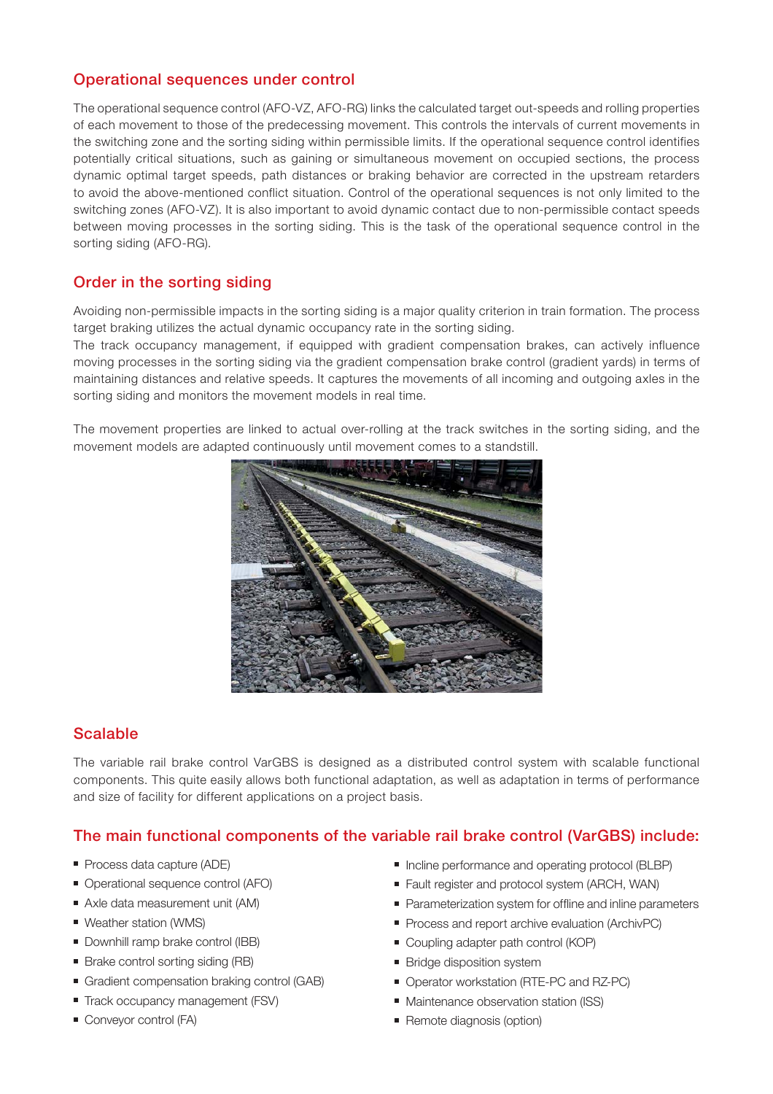# Operational sequences under control

The operational sequence control (AFO-VZ, AFO-RG) links the calculated target out-speeds and rolling properties of each movement to those of the predecessing movement. This controls the intervals of current movements in the switching zone and the sorting siding within permissible limits. If the operational sequence control identifies potentially critical situations, such as gaining or simultaneous movement on occupied sections, the process dynamic optimal target speeds, path distances or braking behavior are corrected in the upstream retarders to avoid the above-mentioned conflict situation. Control of the operational sequences is not only limited to the switching zones (AFO-VZ). It is also important to avoid dynamic contact due to non-permissible contact speeds between moving processes in the sorting siding. This is the task of the operational sequence control in the sorting siding (AFO-RG).

# Order in the sorting siding

Avoiding non-permissible impacts in the sorting siding is a major quality criterion in train formation. The process target braking utilizes the actual dynamic occupancy rate in the sorting siding.

The track occupancy management, if equipped with gradient compensation brakes, can actively influence moving processes in the sorting siding via the gradient compensation brake control (gradient yards) in terms of maintaining distances and relative speeds. It captures the movements of all incoming and outgoing axles in the sorting siding and monitors the movement models in real time.

The movement properties are linked to actual over-rolling at the track switches in the sorting siding, and the movement models are adapted continuously until movement comes to a standstill.



# Scalable

The variable rail brake control VarGBS is designed as a distributed control system with scalable functional components. This quite easily allows both functional adaptation, as well as adaptation in terms of performance and size of facility for different applications on a project basis.

# The main functional components of the variable rail brake control (VarGBS) include:

- Process data capture (ADE)
- Operational sequence control (AFO)
- Axle data measurement unit (AM)
- Weather station (WMS)
- **Downhill ramp brake control (IBB)**
- Brake control sorting siding (RB)
- Gradient compensation braking control (GAB)
- Track occupancy management (FSV)
- Conveyor control (FA)
- Incline performance and operating protocol (BLBP)
- Fault register and protocol system (ARCH, WAN)
- Parameterization system for offline and inline parameters
- Process and report archive evaluation (ArchivPC)
- Coupling adapter path control (KOP)
- **Bridge disposition system**
- Operator workstation (RTE-PC and RZ-PC)
- **Maintenance observation station (ISS)**
- Remote diagnosis (option)